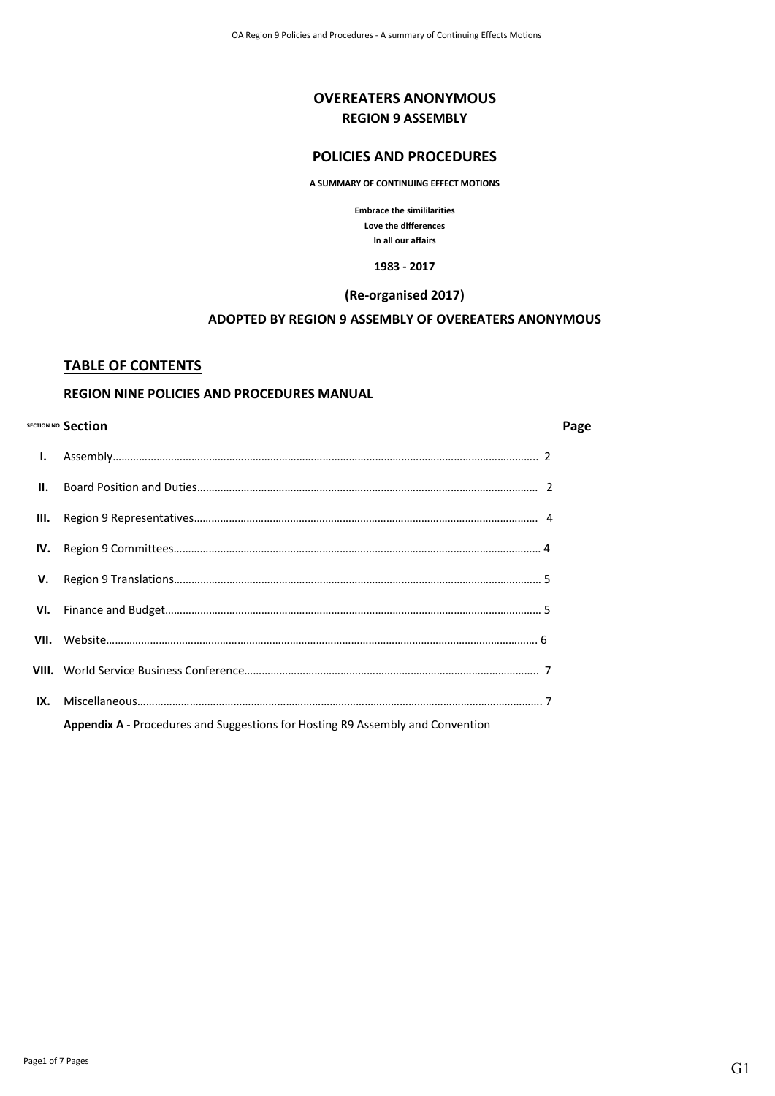# **OVEREATERS ANONYMOUS REGION 9 ASSEMBLY**

# **POLICIES AND PROCEDURES**

**A SUMMARY OF CONTINUING EFFECT MOTIONS**

**Embrace the simililarities Love the differences In all our affairs**

**1983 - 2017**

#### **(Re-organised 2017)**

### **ADOPTED BY REGION 9 ASSEMBLY OF OVEREATERS ANONYMOUS**

### **TABLE OF CONTENTS**

# **REGION NINE POLICIES AND PROCEDURES MANUAL**

#### **SECTION NO Section Page**

| V.  |                                                                                |  |
|-----|--------------------------------------------------------------------------------|--|
|     |                                                                                |  |
|     |                                                                                |  |
|     |                                                                                |  |
| IX. |                                                                                |  |
|     | Appendix A - Procedures and Suggestions for Hosting R9 Assembly and Convention |  |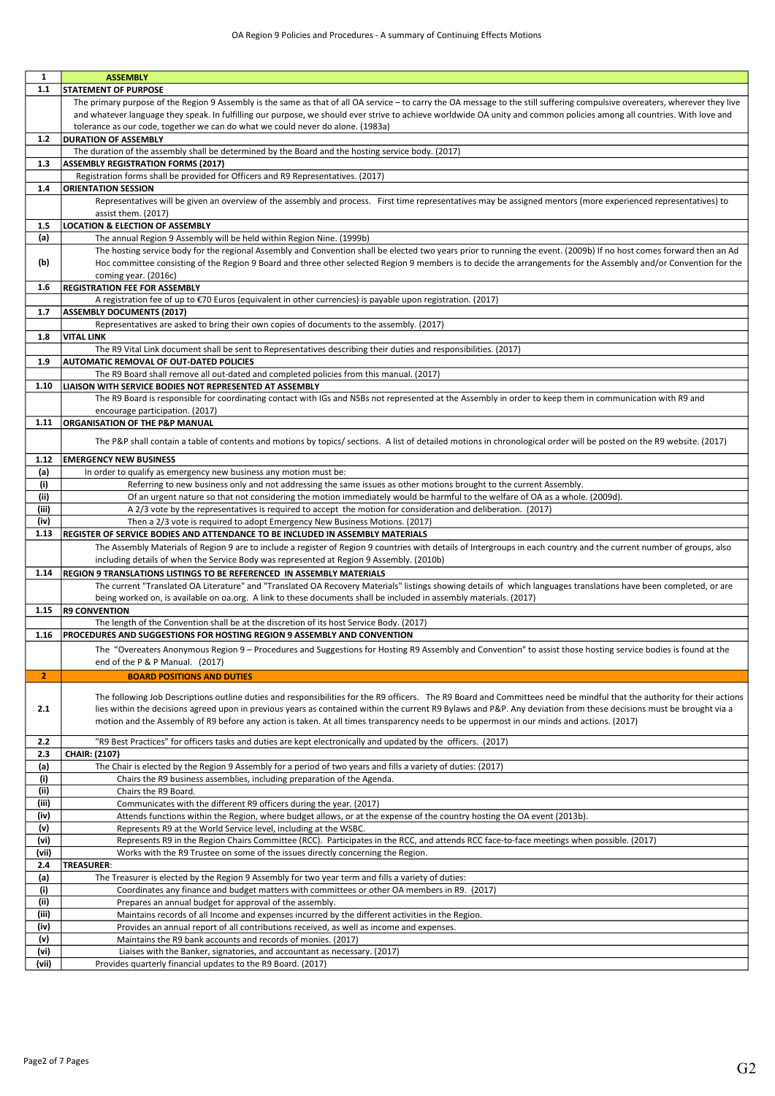| 1            | <b>ASSEMBLY</b>                                                                                                                                                               |
|--------------|-------------------------------------------------------------------------------------------------------------------------------------------------------------------------------|
| $1.1$        | <b>STATEMENT OF PURPOSE</b>                                                                                                                                                   |
|              | The primary purpose of the Region 9 Assembly is the same as that of all OA service - to carry the OA message to the still suffering compulsive overeaters, wherever they live |
|              | and whatever language they speak. In fulfilling our purpose, we should ever strive to achieve worldwide OA unity and common policies among all countries. With love and       |
|              | tolerance as our code, together we can do what we could never do alone. (1983a)                                                                                               |
| $1.2$        | <b>DURATION OF ASSEMBLY</b>                                                                                                                                                   |
|              | The duration of the assembly shall be determined by the Board and the hosting service body. (2017)                                                                            |
| 1.3          | <b>ASSEMBLY REGISTRATION FORMS (2017)</b>                                                                                                                                     |
|              | Registration forms shall be provided for Officers and R9 Representatives. (2017)                                                                                              |
| 1.4          | <b>ORIENTATION SESSION</b>                                                                                                                                                    |
|              | Representatives will be given an overview of the assembly and process. First time representatives may be assigned mentors (more experienced representatives) to               |
|              |                                                                                                                                                                               |
|              | assist them. (2017)                                                                                                                                                           |
| 1.5          | <b>LOCATION &amp; ELECTION OF ASSEMBLY</b>                                                                                                                                    |
| (a)          | The annual Region 9 Assembly will be held within Region Nine. (1999b)                                                                                                         |
|              | The hosting service body for the regional Assembly and Convention shall be elected two years prior to running the event. (2009b) If no host comes forward then an Ad          |
| (b)          | Hoc committee consisting of the Region 9 Board and three other selected Region 9 members is to decide the arrangements for the Assembly and/or Convention for the             |
|              | coming year. (2016c)                                                                                                                                                          |
| 1.6          | <b>REGISTRATION FEE FOR ASSEMBLY</b>                                                                                                                                          |
|              | A registration fee of up to €70 Euros (equivalent in other currencies) is payable upon registration. (2017)                                                                   |
| 1.7          | <b>ASSEMBLY DOCUMENTS (2017)</b>                                                                                                                                              |
|              | Representatives are asked to bring their own copies of documents to the assembly. (2017)                                                                                      |
| 1.8          | <b>VITAL LINK</b>                                                                                                                                                             |
|              | The R9 Vital Link document shall be sent to Representatives describing their duties and responsibilities. (2017)                                                              |
| 1.9          | <b>AUTOMATIC REMOVAL OF OUT-DATED POLICIES</b>                                                                                                                                |
|              | The R9 Board shall remove all out-dated and completed policies from this manual. (2017)                                                                                       |
| 1.10         | LIAISON WITH SERVICE BODIES NOT REPRESENTED AT ASSEMBLY                                                                                                                       |
|              | The R9 Board is responsible for coordinating contact with IGs and NSBs not represented at the Assembly in order to keep them in communication with R9 and                     |
|              | encourage participation. (2017)                                                                                                                                               |
| 1.11         | <b>ORGANISATION OF THE P&amp;P MANUAL</b>                                                                                                                                     |
|              | The P&P shall contain a table of contents and motions by topics/ sections. A list of detailed motions in chronological order will be posted on the R9 website. (2017)         |
|              |                                                                                                                                                                               |
| 1.12         | <b>EMERGENCY NEW BUSINESS</b>                                                                                                                                                 |
| (a)          | In order to qualify as emergency new business any motion must be:                                                                                                             |
| (i)          | Referring to new business only and not addressing the same issues as other motions brought to the current Assembly.                                                           |
| (ii)         | Of an urgent nature so that not considering the motion immediately would be harmful to the welfare of OA as a whole. (2009d).                                                 |
| (iii)        | A 2/3 vote by the representatives is required to accept the motion for consideration and deliberation. (2017)                                                                 |
| (iv)         | Then a 2/3 vote is required to adopt Emergency New Business Motions. (2017)                                                                                                   |
| 1.13         | <b>REGISTER OF SERVICE BODIES AND ATTENDANCE TO BE INCLUDED IN ASSEMBLY MATERIALS</b>                                                                                         |
|              | The Assembly Materials of Region 9 are to include a register of Region 9 countries with details of Intergroups in each country and the current number of groups, also         |
|              | including details of when the Service Body was represented at Region 9 Assembly. (2010b)                                                                                      |
| 1.14         | <b>REGION 9 TRANSLATIONS LISTINGS TO BE REFERENCED IN ASSEMBLY MATERIALS</b>                                                                                                  |
|              | The current "Translated OA Literature" and "Translated OA Recovery Materials" listings showing details of which languages translations have been completed, or are            |
|              | being worked on, is available on oa.org. A link to these documents shall be included in assembly materials. (2017)                                                            |
| 1.15         | <b>R9 CONVENTION</b>                                                                                                                                                          |
|              | The length of the Convention shall be at the discretion of its host Service Body. (2017)                                                                                      |
| 1.16         | PROCEDURES AND SUGGESTIONS FOR HOSTING REGION 9 ASSEMBLY AND CONVENTION                                                                                                       |
|              |                                                                                                                                                                               |
|              | The "Overeaters Anonymous Region 9 - Procedures and Suggestions for Hosting R9 Assembly and Convention" to assist those hosting service bodies is found at the                |
|              | end of the P & P Manual. (2017)                                                                                                                                               |
| $\mathbf{z}$ | <b>BOARD POSITIONS AND DUTIES</b>                                                                                                                                             |
|              | The following Job Descriptions outline duties and responsibilities for the R9 officers. The R9 Board and Committees need be mindful that the authority for their actions      |
| 2.1          | lies within the decisions agreed upon in previous years as contained within the current R9 Bylaws and P&P. Any deviation from these decisions must be brought via a           |
|              | motion and the Assembly of R9 before any action is taken. At all times transparency needs to be uppermost in our minds and actions. (2017)                                    |
|              |                                                                                                                                                                               |
| 2.2          | "R9 Best Practices" for officers tasks and duties are kept electronically and updated by the officers. (2017)                                                                 |
| 2.3          | <b>CHAIR: (2107)</b>                                                                                                                                                          |
| (a)          | The Chair is elected by the Region 9 Assembly for a period of two years and fills a variety of duties: (2017)                                                                 |
| (i)          | Chairs the R9 business assemblies, including preparation of the Agenda.                                                                                                       |
| (ii)         | Chairs the R9 Board.                                                                                                                                                          |
| (iii)        | Communicates with the different R9 officers during the year. (2017)                                                                                                           |
| (iv)         | Attends functions within the Region, where budget allows, or at the expense of the country hosting the OA event (2013b).                                                      |
| (v)          | Represents R9 at the World Service level, including at the WSBC.                                                                                                              |
| (vi)         | Represents R9 in the Region Chairs Committee (RCC). Participates in the RCC, and attends RCC face-to-face meetings when possible. (2017)                                      |
| (vii)        | Works with the R9 Trustee on some of the issues directly concerning the Region.                                                                                               |
| 2.4          | TREASURER:                                                                                                                                                                    |
| (a)          | The Treasurer is elected by the Region 9 Assembly for two year term and fills a variety of duties:                                                                            |
| (i)          | Coordinates any finance and budget matters with committees or other OA members in R9. (2017)                                                                                  |
| (ii)         | Prepares an annual budget for approval of the assembly.                                                                                                                       |
| (iii)        | Maintains records of all Income and expenses incurred by the different activities in the Region.                                                                              |
| (iv)         | Provides an annual report of all contributions received, as well as income and expenses.                                                                                      |
| (v)          | Maintains the R9 bank accounts and records of monies. (2017)                                                                                                                  |
| (vi)         | Liaises with the Banker, signatories, and accountant as necessary. (2017)                                                                                                     |
| (vii)        | Provides quarterly financial updates to the R9 Board. (2017)                                                                                                                  |
|              |                                                                                                                                                                               |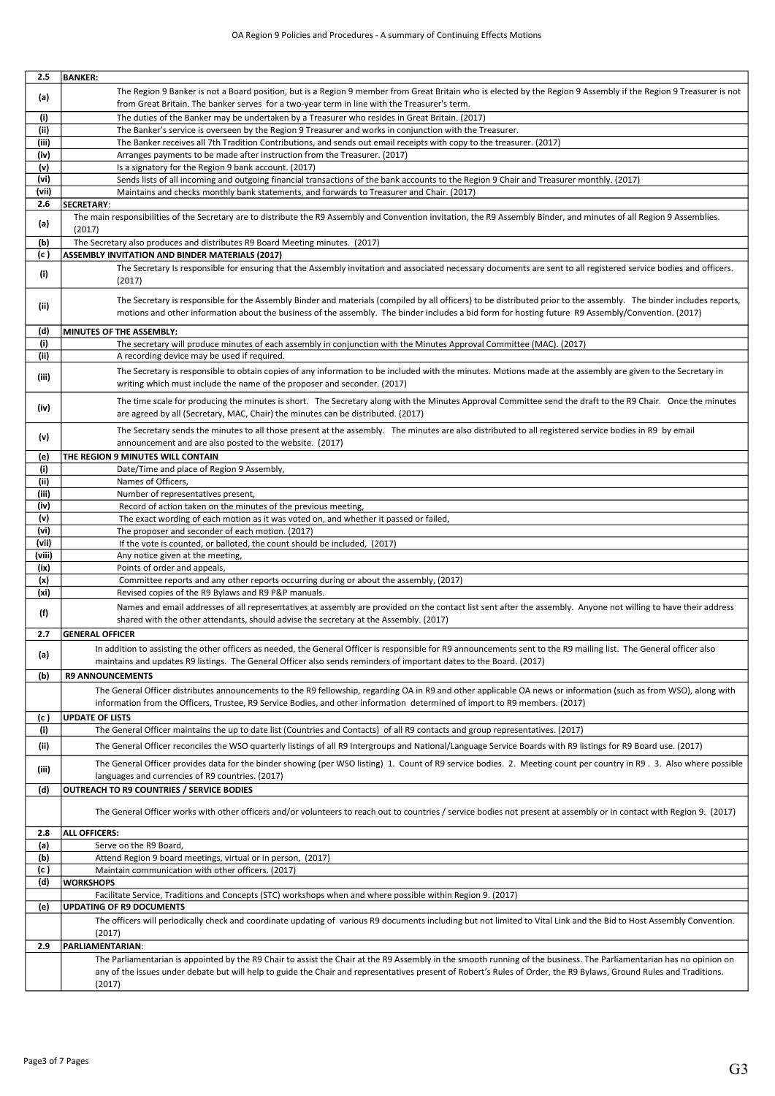| 2.5    | <b>BANKER:</b>                                                                                                                                                          |
|--------|-------------------------------------------------------------------------------------------------------------------------------------------------------------------------|
|        | The Region 9 Banker is not a Board position, but is a Region 9 member from Great Britain who is elected by the Region 9 Assembly if the Region 9 Treasurer is not       |
| (a)    | from Great Britain. The banker serves for a two-year term in line with the Treasurer's term.                                                                            |
|        |                                                                                                                                                                         |
| (i)    | The duties of the Banker may be undertaken by a Treasurer who resides in Great Britain. (2017)                                                                          |
| (ii)   | The Banker's service is overseen by the Region 9 Treasurer and works in conjunction with the Treasurer.                                                                 |
| (iii)  | The Banker receives all 7th Tradition Contributions, and sends out email receipts with copy to the treasurer. (2017)                                                    |
| (iv)   | Arranges payments to be made after instruction from the Treasurer. (2017)                                                                                               |
| (v)    | Is a signatory for the Region 9 bank account. (2017)                                                                                                                    |
| (vi)   | Sends lists of all incoming and outgoing financial transactions of the bank accounts to the Region 9 Chair and Treasurer monthly. (2017)                                |
| (vii)  | Maintains and checks monthly bank statements, and forwards to Treasurer and Chair. (2017)                                                                               |
| 2.6    | SECRETARY:                                                                                                                                                              |
|        | The main responsibilities of the Secretary are to distribute the R9 Assembly and Convention invitation, the R9 Assembly Binder, and minutes of all Region 9 Assemblies. |
| (a)    | (2017)                                                                                                                                                                  |
| (b)    | The Secretary also produces and distributes R9 Board Meeting minutes. (2017)                                                                                            |
| (c )   | ASSEMBLY INVITATION AND BINDER MATERIALS (2017)                                                                                                                         |
|        |                                                                                                                                                                         |
| (i)    | The Secretary Is responsible for ensuring that the Assembly invitation and associated necessary documents are sent to all registered service bodies and officers.       |
|        | (2017)                                                                                                                                                                  |
|        | The Secretary is responsible for the Assembly Binder and materials (compiled by all officers) to be distributed prior to the assembly. The binder includes reports,     |
| (ii)   | motions and other information about the business of the assembly. The binder includes a bid form for hosting future R9 Assembly/Convention. (2017)                      |
|        |                                                                                                                                                                         |
| (d)    | MINUTES OF THE ASSEMBLY:                                                                                                                                                |
| (i)    | The secretary will produce minutes of each assembly in conjunction with the Minutes Approval Committee (MAC). (2017)                                                    |
| (ii)   | A recording device may be used if required.                                                                                                                             |
|        |                                                                                                                                                                         |
| (iii)  | The Secretary is responsible to obtain copies of any information to be included with the minutes. Motions made at the assembly are given to the Secretary in            |
|        | writing which must include the name of the proposer and seconder. (2017)                                                                                                |
|        | The time scale for producing the minutes is short. The Secretary along with the Minutes Approval Committee send the draft to the R9 Chair. Once the minutes             |
| (iv)   | are agreed by all (Secretary, MAC, Chair) the minutes can be distributed. (2017)                                                                                        |
|        |                                                                                                                                                                         |
| (v)    | The Secretary sends the minutes to all those present at the assembly. The minutes are also distributed to all registered service bodies in R9 by email                  |
|        | announcement and are also posted to the website. (2017)                                                                                                                 |
| (e)    | THE REGION 9 MINUTES WILL CONTAIN                                                                                                                                       |
| (i)    | Date/Time and place of Region 9 Assembly,                                                                                                                               |
| (ii)   | Names of Officers,                                                                                                                                                      |
| (iii)  | Number of representatives present,                                                                                                                                      |
| (iv)   | Record of action taken on the minutes of the previous meeting,                                                                                                          |
| (v)    | The exact wording of each motion as it was voted on, and whether it passed or failed,                                                                                   |
| (vi)   | The proposer and seconder of each motion. (2017)                                                                                                                        |
| (vii)  | If the vote is counted, or balloted, the count should be included, (2017)                                                                                               |
| (viii) | Any notice given at the meeting,                                                                                                                                        |
| (ix)   | Points of order and appeals,                                                                                                                                            |
| (x)    | Committee reports and any other reports occurring during or about the assembly, (2017)                                                                                  |
| (xi)   | Revised copies of the R9 Bylaws and R9 P&P manuals.                                                                                                                     |
|        | Names and email addresses of all representatives at assembly are provided on the contact list sent after the assembly. Anyone not willing to have their address         |
| (f)    |                                                                                                                                                                         |
|        | shared with the other attendants, should advise the secretary at the Assembly. (2017)                                                                                   |
| 2.7    | <b>GENERAL OFFICER</b>                                                                                                                                                  |
|        | In addition to assisting the other officers as needed, the General Officer is responsible for R9 announcements sent to the R9 mailing list. The General officer also    |
| (a)    | maintains and updates R9 listings. The General Officer also sends reminders of important dates to the Board. (2017)                                                     |
| (b)    | <b>R9 ANNOUNCEMENTS</b>                                                                                                                                                 |
|        |                                                                                                                                                                         |
|        | The General Officer distributes announcements to the R9 fellowship, regarding OA in R9 and other applicable OA news or information (such as from WSO), along with       |
|        | information from the Officers, Trustee, R9 Service Bodies, and other information determined of import to R9 members. (2017)                                             |
| (c )   | <b>UPDATE OF LISTS</b>                                                                                                                                                  |
| (i)    | The General Officer maintains the up to date list (Countries and Contacts) of all R9 contacts and group representatives. (2017)                                         |
| (ii)   | The General Officer reconciles the WSO quarterly listings of all R9 Intergroups and National/Language Service Boards with R9 listings for R9 Board use. (2017)          |
|        |                                                                                                                                                                         |
| (iii)  | The General Officer provides data for the binder showing (per WSO listing) 1. Count of R9 service bodies. 2. Meeting count per country in R9. 3. Also where possible    |
|        | languages and currencies of R9 countries. (2017)                                                                                                                        |
| (d)    | OUTREACH TO R9 COUNTRIES / SERVICE BODIES                                                                                                                               |
|        |                                                                                                                                                                         |
|        | The General Officer works with other officers and/or volunteers to reach out to countries / service bodies not present at assembly or in contact with Region 9. (2017)  |
|        |                                                                                                                                                                         |
| 2.8    | <b>ALL OFFICERS:</b>                                                                                                                                                    |
| (a)    | Serve on the R9 Board,                                                                                                                                                  |
| (b)    | Attend Region 9 board meetings, virtual or in person, (2017)                                                                                                            |
| (c )   | Maintain communication with other officers. (2017)                                                                                                                      |
| (d)    | <b>WORKSHOPS</b>                                                                                                                                                        |
|        | Facilitate Service, Traditions and Concepts (STC) workshops when and where possible within Region 9. (2017)                                                             |
| (e)    | <b>UPDATING OF R9 DOCUMENTS</b>                                                                                                                                         |
|        | The officers will periodically check and coordinate updating of various R9 documents including but not limited to Vital Link and the Bid to Host Assembly Convention.   |
|        | (2017)                                                                                                                                                                  |
|        |                                                                                                                                                                         |
| 2.9    | PARLIAMENTARIAN:                                                                                                                                                        |
|        | The Parliamentarian is appointed by the R9 Chair to assist the Chair at the R9 Assembly in the smooth running of the business. The Parliamentarian has no opinion on    |
|        | any of the issues under debate but will help to guide the Chair and representatives present of Robert's Rules of Order, the R9 Bylaws, Ground Rules and Traditions.     |
|        | (2017)                                                                                                                                                                  |
|        |                                                                                                                                                                         |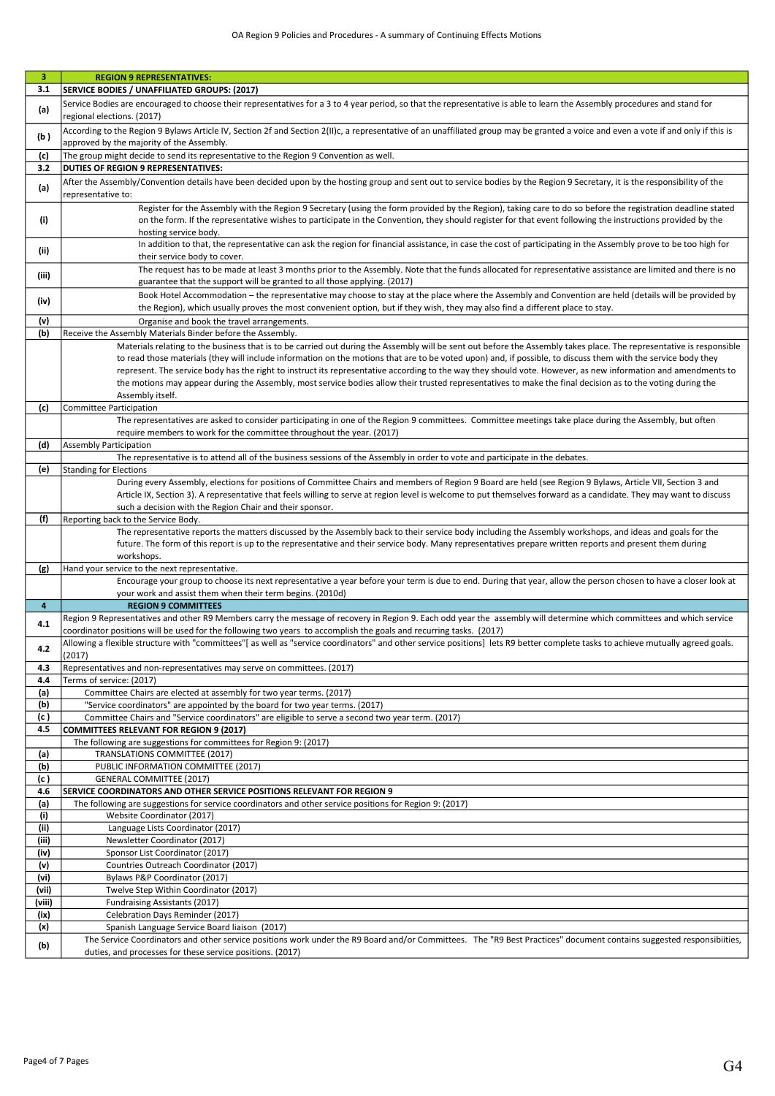| 3 <sup>2</sup> | <b>REGION 9 REPRESENTATIVES:</b>                                                                                                                                                    |
|----------------|-------------------------------------------------------------------------------------------------------------------------------------------------------------------------------------|
| 3.1            | SERVICE BODIES / UNAFFILIATED GROUPS: (2017)                                                                                                                                        |
|                | Service Bodies are encouraged to choose their representatives for a 3 to 4 year period, so that the representative is able to learn the Assembly procedures and stand for           |
| (a)            | regional elections. (2017)                                                                                                                                                          |
|                | According to the Region 9 Bylaws Article IV, Section 2f and Section 2(II)c, a representative of an unaffiliated group may be granted a voice and even a vote if and only if this is |
| (b)            | approved by the majority of the Assembly.                                                                                                                                           |
| (c)            | The group might decide to send its representative to the Region 9 Convention as well.                                                                                               |
| 3.2            | <b>DUTIES OF REGION 9 REPRESENTATIVES:</b>                                                                                                                                          |
|                | After the Assembly/Convention details have been decided upon by the hosting group and sent out to service bodies by the Region 9 Secretary, it is the responsibility of the         |
| (a)            | representative to:                                                                                                                                                                  |
|                | Register for the Assembly with the Region 9 Secretary (using the form provided by the Region), taking care to do so before the registration deadline stated                         |
| (i)            | on the form. If the representative wishes to participate in the Convention, they should register for that event following the instructions provided by the                          |
|                | hosting service body.                                                                                                                                                               |
|                | In addition to that, the representative can ask the region for financial assistance, in case the cost of participating in the Assembly prove to be too high for                     |
| (ii)           | their service body to cover.                                                                                                                                                        |
|                | The request has to be made at least 3 months prior to the Assembly. Note that the funds allocated for representative assistance are limited and there is no                         |
| (iii)          | guarantee that the support will be granted to all those applying. (2017)                                                                                                            |
|                | Book Hotel Accommodation - the representative may choose to stay at the place where the Assembly and Convention are held (details will be provided by                               |
| (iv)           | the Region), which usually proves the most convenient option, but if they wish, they may also find a different place to stay.                                                       |
| (v)            | Organise and book the travel arrangements.                                                                                                                                          |
| (b)            | Receive the Assembly Materials Binder before the Assembly.                                                                                                                          |
|                | Materials relating to the business that is to be carried out during the Assembly will be sent out before the Assembly takes place. The representative is responsible                |
|                | to read those materials (they will include information on the motions that are to be voted upon) and, if possible, to discuss them with the service body they                       |
|                | represent. The service body has the right to instruct its representative according to the way they should vote. However, as new information and amendments to                       |
|                | the motions may appear during the Assembly, most service bodies allow their trusted representatives to make the final decision as to the voting during the                          |
|                | Assembly itself.                                                                                                                                                                    |
| (c)            | Committee Participation                                                                                                                                                             |
|                | The representatives are asked to consider participating in one of the Region 9 committees. Committee meetings take place during the Assembly, but often                             |
|                | require members to work for the committee throughout the year. (2017)                                                                                                               |
| (d)            | <b>Assembly Participation</b>                                                                                                                                                       |
|                | The representative is to attend all of the business sessions of the Assembly in order to vote and participate in the debates.                                                       |
| (e)            | <b>Standing for Elections</b>                                                                                                                                                       |
|                | During every Assembly, elections for positions of Committee Chairs and members of Region 9 Board are held (see Region 9 Bylaws, Article VII, Section 3 and                          |
|                | Article IX, Section 3). A representative that feels willing to serve at region level is welcome to put themselves forward as a candidate. They may want to discuss                  |
|                | such a decision with the Region Chair and their sponsor.                                                                                                                            |
| (f)            | Reporting back to the Service Body.                                                                                                                                                 |
|                | The representative reports the matters discussed by the Assembly back to their service body including the Assembly workshops, and ideas and goals for the                           |
|                | future. The form of this report is up to the representative and their service body. Many representatives prepare written reports and present them during                            |
|                | workshops.                                                                                                                                                                          |
| (g)            | Hand your service to the next representative.                                                                                                                                       |
|                | Encourage your group to choose its next representative a year before your term is due to end. During that year, allow the person chosen to have a closer look at                    |
|                | your work and assist them when their term begins. (2010d)                                                                                                                           |
| 4              | <b>REGION 9 COMMITTEES</b>                                                                                                                                                          |
| 4.1            | Region 9 Representatives and other R9 Members carry the message of recovery in Region 9. Each odd year the assembly will determine which committees and which service               |
|                | coordinator positions will be used for the following two years to accomplish the goals and recurring tasks. (2017)                                                                  |
| 4.2            | Allowing a flexible structure with "committees"[as well as "service coordinators" and other service positions] lets R9 better complete tasks to achieve mutually agreed goals.      |
|                | (2017)                                                                                                                                                                              |
| 4.3<br>4.4     | Representatives and non-representatives may serve on committees. (2017)<br>Terms of service: (2017)                                                                                 |
| (a)            | Committee Chairs are elected at assembly for two year terms. (2017)                                                                                                                 |
| (b)            | "Service coordinators" are appointed by the board for two year terms. (2017)                                                                                                        |
| (c)            | Committee Chairs and "Service coordinators" are eligible to serve a second two year term. (2017)                                                                                    |
| 4.5            | <b>COMMITTEES RELEVANT FOR REGION 9 (2017)</b>                                                                                                                                      |
|                | The following are suggestions for committees for Region 9: (2017)                                                                                                                   |
| (a)            | TRANSLATIONS COMMITTEE (2017)                                                                                                                                                       |
| (b)            | PUBLIC INFORMATION COMMITTEE (2017)                                                                                                                                                 |
| (c )           | <b>GENERAL COMMITTEE (2017)</b>                                                                                                                                                     |
| 4.6            | <b>SERVICE COORDINATORS AND OTHER SERVICE POSITIONS RELEVANT FOR REGION 9</b>                                                                                                       |
| (a)            | The following are suggestions for service coordinators and other service positions for Region 9: (2017)                                                                             |
| (i)            | Website Coordinator (2017)                                                                                                                                                          |
| (ii)           | Language Lists Coordinator (2017)                                                                                                                                                   |
| (iii)          | Newsletter Coordinator (2017)                                                                                                                                                       |
| (iv)           | Sponsor List Coordinator (2017)                                                                                                                                                     |
| (v)            | Countries Outreach Coordinator (2017)                                                                                                                                               |
| (vi)           | Bylaws P&P Coordinator (2017)                                                                                                                                                       |
| (vii)          | Twelve Step Within Coordinator (2017)                                                                                                                                               |
| (viii)         | Fundraising Assistants (2017)                                                                                                                                                       |
| (ix)           | Celebration Days Reminder (2017)                                                                                                                                                    |
| (x)            | Spanish Language Service Board liaison (2017)                                                                                                                                       |
| (b)            | The Service Coordinators and other service positions work under the R9 Board and/or Committees. The "R9 Best Practices" document contains suggested responsibiities,                |
|                | duties, and processes for these service positions. (2017)                                                                                                                           |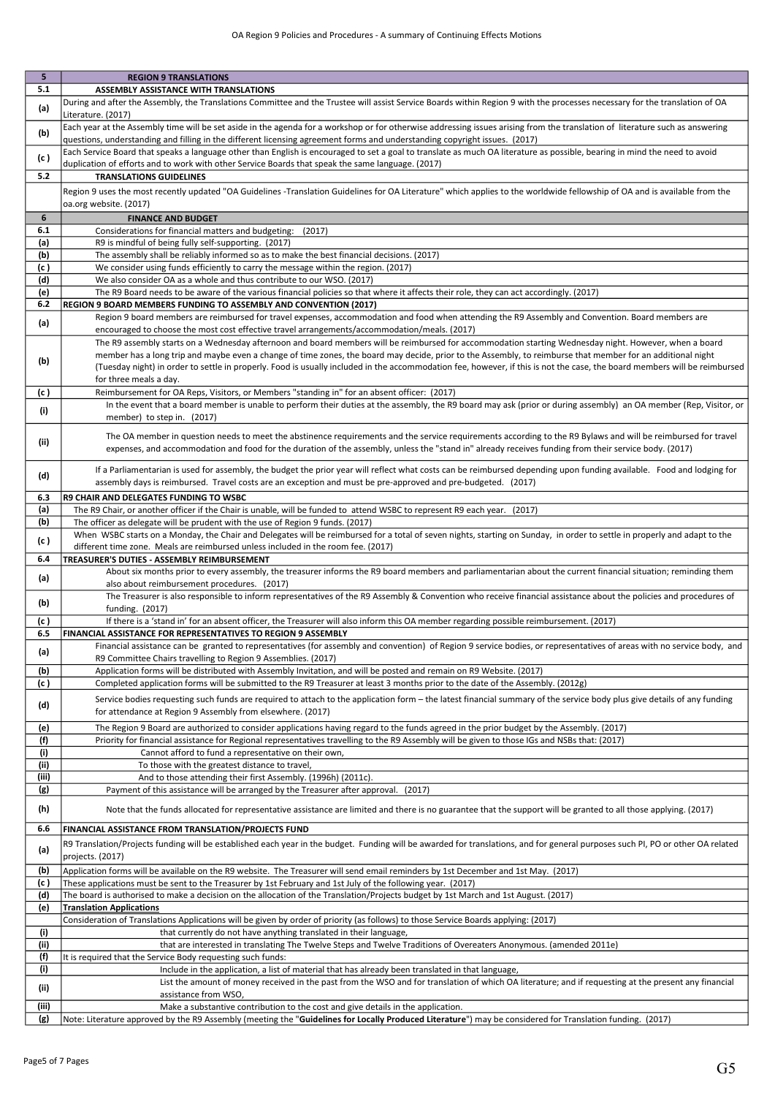| 5.           | <b>REGION 9 TRANSLATIONS</b>                                                                                                                                                                                                                                                                                                                                       |
|--------------|--------------------------------------------------------------------------------------------------------------------------------------------------------------------------------------------------------------------------------------------------------------------------------------------------------------------------------------------------------------------|
| 5.1          | ASSEMBLY ASSISTANCE WITH TRANSLATIONS                                                                                                                                                                                                                                                                                                                              |
| (a)          | During and after the Assembly, the Translations Committee and the Trustee will assist Service Boards within Region 9 with the processes necessary for the translation of OA<br>Literature. (2017)                                                                                                                                                                  |
| (b)          | Each year at the Assembly time will be set aside in the agenda for a workshop or for otherwise addressing issues arising from the translation of literature such as answering<br>questions, understanding and filling in the different licensing agreement forms and understanding copyright issues. (2017)                                                        |
|              | Each Service Board that speaks a language other than English is encouraged to set a goal to translate as much OA literature as possible, bearing in mind the need to avoid                                                                                                                                                                                         |
| (c)          | duplication of efforts and to work with other Service Boards that speak the same language. (2017)                                                                                                                                                                                                                                                                  |
| 5.2          | <b>TRANSLATIONS GUIDELINES</b>                                                                                                                                                                                                                                                                                                                                     |
|              | Region 9 uses the most recently updated "OA Guidelines -Translation Guidelines for OA Literature" which applies to the worldwide fellowship of OA and is available from the<br>oa.org website. (2017)                                                                                                                                                              |
| 6            | <b>FINANCE AND BUDGET</b>                                                                                                                                                                                                                                                                                                                                          |
| 6.1          | Considerations for financial matters and budgeting: (2017)                                                                                                                                                                                                                                                                                                         |
| (a)          | R9 is mindful of being fully self-supporting. (2017)                                                                                                                                                                                                                                                                                                               |
| (b)          | The assembly shall be reliably informed so as to make the best financial decisions. (2017)                                                                                                                                                                                                                                                                         |
| (c )         | We consider using funds efficiently to carry the message within the region. (2017)                                                                                                                                                                                                                                                                                 |
| (d)<br>(e)   | We also consider OA as a whole and thus contribute to our WSO. (2017)<br>The R9 Board needs to be aware of the various financial policies so that where it affects their role, they can act accordingly. (2017)                                                                                                                                                    |
| 6.2          | REGION 9 BOARD MEMBERS FUNDING TO ASSEMBLY AND CONVENTION (2017)                                                                                                                                                                                                                                                                                                   |
| (a)          | Region 9 board members are reimbursed for travel expenses, accommodation and food when attending the R9 Assembly and Convention. Board members are                                                                                                                                                                                                                 |
|              | encouraged to choose the most cost effective travel arrangements/accommodation/meals. (2017)<br>The R9 assembly starts on a Wednesday afternoon and board members will be reimbursed for accommodation starting Wednesday night. However, when a board                                                                                                             |
| (b)          | member has a long trip and maybe even a change of time zones, the board may decide, prior to the Assembly, to reimburse that member for an additional night<br>(Tuesday night) in order to settle in properly. Food is usually included in the accommodation fee, however, if this is not the case, the board members will be reimbursed<br>for three meals a day. |
| (c )         | Reimbursement for OA Reps, Visitors, or Members "standing in" for an absent officer: (2017)                                                                                                                                                                                                                                                                        |
| (i)          | In the event that a board member is unable to perform their duties at the assembly, the R9 board may ask (prior or during assembly) an OA member (Rep, Visitor, or<br>member) to step in. (2017)                                                                                                                                                                   |
| (ii)         | The OA member in question needs to meet the abstinence requirements and the service requirements according to the R9 Bylaws and will be reimbursed for travel<br>expenses, and accommodation and food for the duration of the assembly, unless the "stand in" already receives funding from their service body. (2017)                                             |
| (d)          | If a Parliamentarian is used for assembly, the budget the prior year will reflect what costs can be reimbursed depending upon funding available. Food and lodging for<br>assembly days is reimbursed. Travel costs are an exception and must be pre-approved and pre-budgeted. (2017)                                                                              |
| 6.3          | R9 CHAIR AND DELEGATES FUNDING TO WSBC                                                                                                                                                                                                                                                                                                                             |
| (a)          | The R9 Chair, or another officer if the Chair is unable, will be funded to attend WSBC to represent R9 each year. (2017)                                                                                                                                                                                                                                           |
| (b)          | The officer as delegate will be prudent with the use of Region 9 funds. (2017)                                                                                                                                                                                                                                                                                     |
| (c)          | When WSBC starts on a Monday, the Chair and Delegates will be reimbursed for a total of seven nights, starting on Sunday, in order to settle in properly and adapt to the                                                                                                                                                                                          |
| 6.4          | different time zone. Meals are reimbursed unless included in the room fee. (2017)<br>TREASURER'S DUTIES - ASSEMBLY REIMBURSEMENT                                                                                                                                                                                                                                   |
|              |                                                                                                                                                                                                                                                                                                                                                                    |
|              |                                                                                                                                                                                                                                                                                                                                                                    |
| (a)          | About six months prior to every assembly, the treasurer informs the R9 board members and parliamentarian about the current financial situation; reminding them<br>also about reimbursement procedures. (2017)                                                                                                                                                      |
| (b)          | The Treasurer is also responsible to inform representatives of the R9 Assembly & Convention who receive financial assistance about the policies and procedures of<br>funding. (2017)                                                                                                                                                                               |
| (c )         | If there is a 'stand in' for an absent officer, the Treasurer will also inform this OA member regarding possible reimbursement. (2017)                                                                                                                                                                                                                             |
| 6.5          | FINANCIAL ASSISTANCE FOR REPRESENTATIVES TO REGION 9 ASSEMBLY                                                                                                                                                                                                                                                                                                      |
| (a)          | Financial assistance can be granted to representatives (for assembly and convention) of Region 9 service bodies, or representatives of areas with no service body, and<br>R9 Committee Chairs travelling to Region 9 Assemblies. (2017)                                                                                                                            |
| (b)          | Application forms will be distributed with Assembly Invitation, and will be posted and remain on R9 Website. (2017)                                                                                                                                                                                                                                                |
| (c )         | Completed application forms will be submitted to the R9 Treasurer at least 3 months prior to the date of the Assembly. (2012g)                                                                                                                                                                                                                                     |
| (d)          | Service bodies requesting such funds are required to attach to the application form – the latest financial summary of the service body plus give details of any funding<br>for attendance at Region 9 Assembly from elsewhere. (2017)                                                                                                                              |
| (e)          | The Region 9 Board are authorized to consider applications having regard to the funds agreed in the prior budget by the Assembly. (2017)                                                                                                                                                                                                                           |
| (f)          | Priority for financial assistance for Regional representatives travelling to the R9 Assembly will be given to those IGs and NSBs that: (2017)                                                                                                                                                                                                                      |
| (i)          | Cannot afford to fund a representative on their own,                                                                                                                                                                                                                                                                                                               |
| (ii)         | To those with the greatest distance to travel,                                                                                                                                                                                                                                                                                                                     |
| (iii)<br>(g) | And to those attending their first Assembly. (1996h) (2011c).<br>Payment of this assistance will be arranged by the Treasurer after approval.<br>(2017)                                                                                                                                                                                                            |
| (h)          | Note that the funds allocated for representative assistance are limited and there is no guarantee that the support will be granted to all those applying. (2017)                                                                                                                                                                                                   |
| 6.6          | <b>FINANCIAL ASSISTANCE FROM TRANSLATION/PROJECTS FUND</b>                                                                                                                                                                                                                                                                                                         |
| (a)          | R9 Translation/Projects funding will be established each year in the budget. Funding will be awarded for translations, and for general purposes such PI, PO or other OA related<br>projects. (2017)                                                                                                                                                                |
| (b)          | Application forms will be available on the R9 website. The Treasurer will send email reminders by 1st December and 1st May. (2017)                                                                                                                                                                                                                                 |
| (c )         | These applications must be sent to the Treasurer by 1st February and 1st July of the following year. (2017)                                                                                                                                                                                                                                                        |
| (d)          | The board is authorised to make a decision on the allocation of the Translation/Projects budget by 1st March and 1st August. (2017)                                                                                                                                                                                                                                |
| (e)          | <b>Translation Applications</b>                                                                                                                                                                                                                                                                                                                                    |
|              | Consideration of Translations Applications will be given by order of priority (as follows) to those Service Boards applying: (2017)                                                                                                                                                                                                                                |
| (i)<br>(ii)  | that currently do not have anything translated in their language,<br>that are interested in translating The Twelve Steps and Twelve Traditions of Overeaters Anonymous. (amended 2011e)                                                                                                                                                                            |
| (f)          | It is required that the Service Body requesting such funds:                                                                                                                                                                                                                                                                                                        |
| (i)          | Include in the application, a list of material that has already been translated in that language,                                                                                                                                                                                                                                                                  |
| (ii)         | List the amount of money received in the past from the WSO and for translation of which OA literature; and if requesting at the present any financial                                                                                                                                                                                                              |
| (iii)        | assistance from WSO,<br>Make a substantive contribution to the cost and give details in the application.                                                                                                                                                                                                                                                           |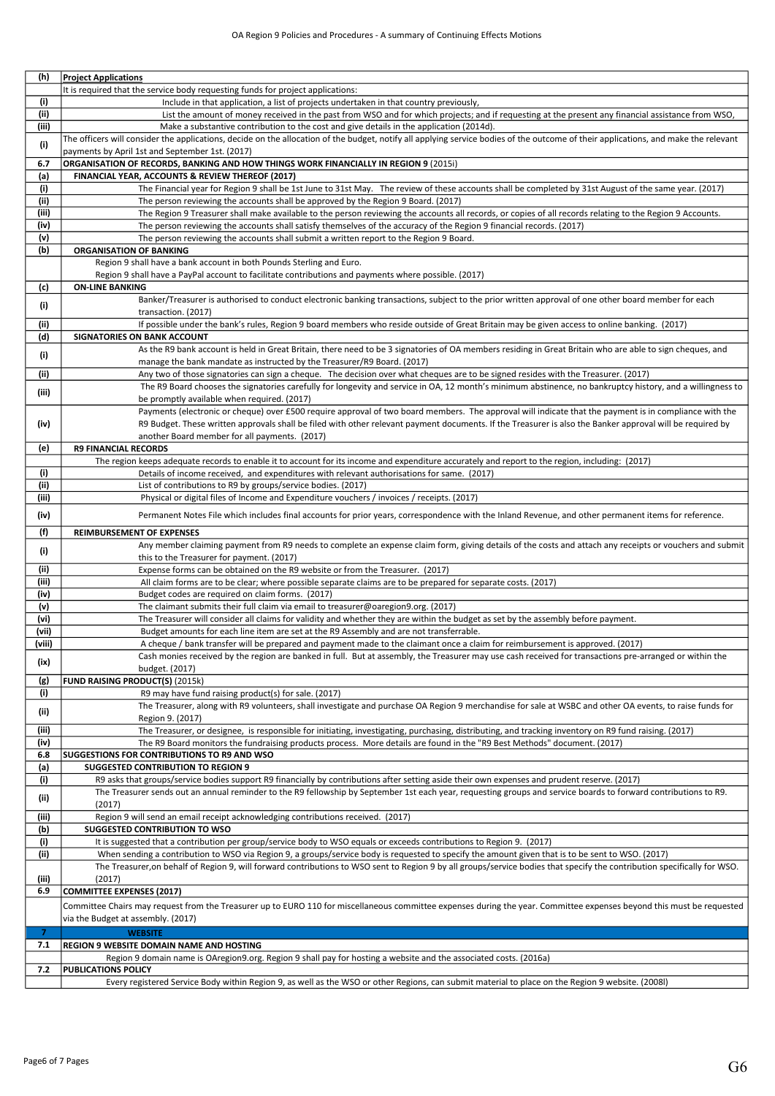| (h)            | <b>Project Applications</b>                                                                                                                                                         |
|----------------|-------------------------------------------------------------------------------------------------------------------------------------------------------------------------------------|
|                | It is required that the service body requesting funds for project applications:                                                                                                     |
| (i)            | Include in that application, a list of projects undertaken in that country previously,                                                                                              |
| (ii)           | List the amount of money received in the past from WSO and for which projects; and if requesting at the present any financial assistance from WSO,                                  |
| (iii)          | Make a substantive contribution to the cost and give details in the application (2014d).                                                                                            |
| (i)            | The officers will consider the applications, decide on the allocation of the budget, notify all applying service bodies of the outcome of their applications, and make the relevant |
|                | payments by April 1st and September 1st. (2017)                                                                                                                                     |
| 6.7            | ORGANISATION OF RECORDS, BANKING AND HOW THINGS WORK FINANCIALLY IN REGION 9 (2015i)                                                                                                |
| (a)            | FINANCIAL YEAR, ACCOUNTS & REVIEW THEREOF (2017)                                                                                                                                    |
| (i)            | The Financial year for Region 9 shall be 1st June to 31st May. The review of these accounts shall be completed by 31st August of the same year. (2017)                              |
| (ii)           | The person reviewing the accounts shall be approved by the Region 9 Board. (2017)                                                                                                   |
| (iii)          | The Region 9 Treasurer shall make available to the person reviewing the accounts all records, or copies of all records relating to the Region 9 Accounts.                           |
| (iv)           | The person reviewing the accounts shall satisfy themselves of the accuracy of the Region 9 financial records. (2017)                                                                |
| (v)            | The person reviewing the accounts shall submit a written report to the Region 9 Board.                                                                                              |
| (b)            | <b>ORGANISATION OF BANKING</b>                                                                                                                                                      |
|                | Region 9 shall have a bank account in both Pounds Sterling and Euro.<br>Region 9 shall have a PayPal account to facilitate contributions and payments where possible. (2017)        |
| (c)            | <b>ON-LINE BANKING</b>                                                                                                                                                              |
|                | Banker/Treasurer is authorised to conduct electronic banking transactions, subject to the prior written approval of one other board member for each                                 |
| (i)            | transaction. (2017)                                                                                                                                                                 |
| (ii)           | If possible under the bank's rules, Region 9 board members who reside outside of Great Britain may be given access to online banking. (2017)                                        |
| (d)            | SIGNATORIES ON BANK ACCOUNT                                                                                                                                                         |
|                | As the R9 bank account is held in Great Britain, there need to be 3 signatories of OA members residing in Great Britain who are able to sign cheques, and                           |
| (i)            | manage the bank mandate as instructed by the Treasurer/R9 Board. (2017)                                                                                                             |
| (ii)           | Any two of those signatories can sign a cheque. The decision over what cheques are to be signed resides with the Treasurer. (2017)                                                  |
|                | The R9 Board chooses the signatories carefully for longevity and service in OA, 12 month's minimum abstinence, no bankruptcy history, and a willingness to                          |
| (iii)          | be promptly available when required. (2017)                                                                                                                                         |
|                | Payments (electronic or cheque) over £500 require approval of two board members. The approval will indicate that the payment is in compliance with the                              |
| (iv)           | R9 Budget. These written approvals shall be filed with other relevant payment documents. If the Treasurer is also the Banker approval will be required by                           |
|                | another Board member for all payments. (2017)                                                                                                                                       |
| (e)            | <b>R9 FINANCIAL RECORDS</b>                                                                                                                                                         |
|                | The region keeps adequate records to enable it to account for its income and expenditure accurately and report to the region, including: (2017)                                     |
| (i)            | Details of income received, and expenditures with relevant authorisations for same. (2017)                                                                                          |
| (ii)           | List of contributions to R9 by groups/service bodies. (2017)                                                                                                                        |
| (iii)          | Physical or digital files of Income and Expenditure vouchers / invoices / receipts. (2017)                                                                                          |
| (iv)           | Permanent Notes File which includes final accounts for prior years, correspondence with the Inland Revenue, and other permanent items for reference.                                |
| (f)            | REIMBURSEMENT OF EXPENSES                                                                                                                                                           |
|                | Any member claiming payment from R9 needs to complete an expense claim form, giving details of the costs and attach any receipts or vouchers and submit                             |
| (i)            | this to the Treasurer for payment. (2017)                                                                                                                                           |
| (ii)           | Expense forms can be obtained on the R9 website or from the Treasurer. (2017)                                                                                                       |
| (iii)          | All claim forms are to be clear; where possible separate claims are to be prepared for separate costs. (2017)                                                                       |
| (iv)           | Budget codes are required on claim forms. (2017)                                                                                                                                    |
| (v)            | The claimant submits their full claim via email to treasurer@oaregion9.org. (2017)                                                                                                  |
| (vi)           | The Treasurer will consider all claims for validity and whether they are within the budget as set by the assembly before payment.                                                   |
| (vii)          | Budget amounts for each line item are set at the R9 Assembly and are not transferrable.                                                                                             |
| (viii)         | A cheque / bank transfer will be prepared and payment made to the claimant once a claim for reimbursement is approved. (2017)                                                       |
| (ix)           | Cash monies received by the region are banked in full. But at assembly, the Treasurer may use cash received for transactions pre-arranged or within the                             |
|                | budget. (2017)                                                                                                                                                                      |
| (g)            | FUND RAISING PRODUCT(S) (2015k)                                                                                                                                                     |
| (i)            | R9 may have fund raising product(s) for sale. (2017)                                                                                                                                |
| (ii)           | The Treasurer, along with R9 volunteers, shall investigate and purchase OA Region 9 merchandise for sale at WSBC and other OA events, to raise funds for                            |
|                | Region 9. (2017)                                                                                                                                                                    |
| (iii)          | The Treasurer, or designee, is responsible for initiating, investigating, purchasing, distributing, and tracking inventory on R9 fund raising. (2017)                               |
| (iv)           | The R9 Board monitors the fundraising products process. More details are found in the "R9 Best Methods" document. (2017)                                                            |
| 6.8<br>(a)     | SUGGESTIONS FOR CONTRIBUTIONS TO R9 AND WSO<br><b>SUGGESTED CONTRIBUTION TO REGION 9</b>                                                                                            |
| (i)            | R9 asks that groups/service bodies support R9 financially by contributions after setting aside their own expenses and prudent reserve. (2017)                                       |
|                | The Treasurer sends out an annual reminder to the R9 fellowship by September 1st each year, requesting groups and service boards to forward contributions to R9.                    |
| (ii)           | (2017)                                                                                                                                                                              |
| (iii)          | Region 9 will send an email receipt acknowledging contributions received. (2017)                                                                                                    |
| (b)            | <b>SUGGESTED CONTRIBUTION TO WSO</b>                                                                                                                                                |
| (i)            | It is suggested that a contribution per group/service body to WSO equals or exceeds contributions to Region 9. (2017)                                                               |
| (ii)           | When sending a contribution to WSO via Region 9, a groups/service body is requested to specify the amount given that is to be sent to WSO. (2017)                                   |
|                | The Treasurer, on behalf of Region 9, will forward contributions to WSO sent to Region 9 by all groups/service bodies that specify the contribution specifically for WSO.           |
| (iii)          | (2017)                                                                                                                                                                              |
| 6.9            | <b>COMMITTEE EXPENSES (2017)</b>                                                                                                                                                    |
|                | Committee Chairs may request from the Treasurer up to EURO 110 for miscellaneous committee expenses during the year. Committee expenses beyond this must be requested               |
|                | via the Budget at assembly. (2017)                                                                                                                                                  |
| $\overline{7}$ | <b>WEBSITE</b>                                                                                                                                                                      |
| 7.1            | REGION 9 WEBSITE DOMAIN NAME AND HOSTING                                                                                                                                            |
|                | Region 9 domain name is OAregion9.org. Region 9 shall pay for hosting a website and the associated costs. (2016a)                                                                   |
| 7.2            | <b>PUBLICATIONS POLICY</b>                                                                                                                                                          |
|                | Every registered Service Body within Region 9, as well as the WSO or other Regions, can submit material to place on the Region 9 website. (2008l)                                   |